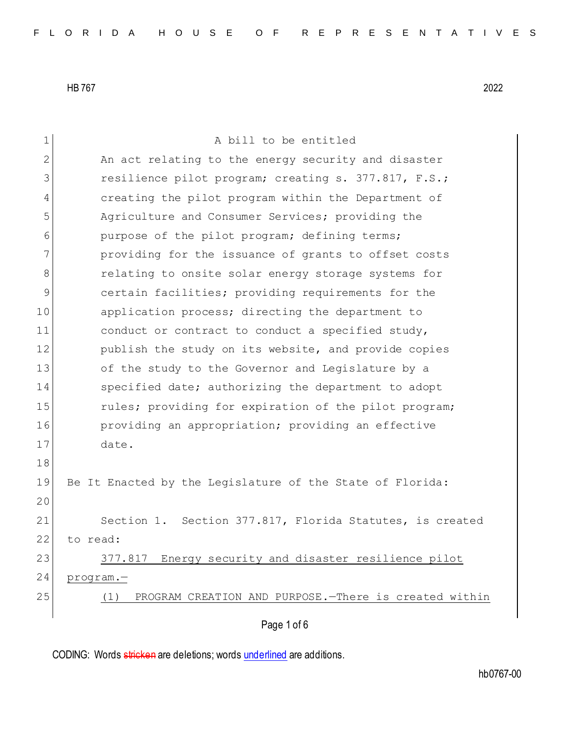Page 1 of 6 1 A bill to be entitled 2 An act relating to the energy security and disaster 3 resilience pilot program; creating s. 377.817, F.S.; 4 creating the pilot program within the Department of 5 Agriculture and Consumer Services; providing the 6 purpose of the pilot program; defining terms; 7 providing for the issuance of grants to offset costs 8 **8** relating to onsite solar energy storage systems for 9 certain facilities; providing requirements for the 10 application process; directing the department to 11 conduct or contract to conduct a specified study, 12 publish the study on its website, and provide copies 13 of the study to the Governor and Legislature by a 14 Specified date; authorizing the department to adopt 15 rules; providing for expiration of the pilot program; 16 **providing an appropriation;** providing an effective 17 date. 18 19 Be It Enacted by the Legislature of the State of Florida: 20 21 Section 1. Section 377.817, Florida Statutes, is created 22 to read: 23 377.817 Energy security and disaster resilience pilot 24 program.— 25 (1) PROGRAM CREATION AND PURPOSE.—There is created within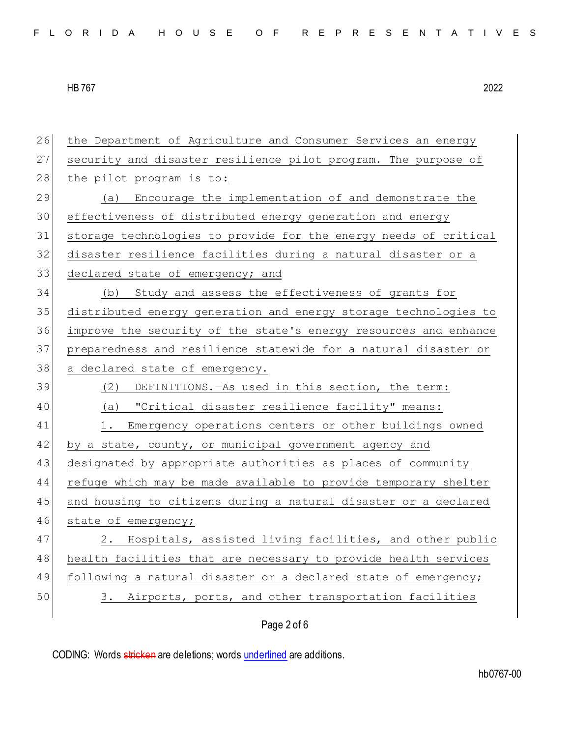| 26 | the Department of Agriculture and Consumer Services an energy    |
|----|------------------------------------------------------------------|
| 27 | security and disaster resilience pilot program. The purpose of   |
| 28 | the pilot program is to:                                         |
| 29 | Encourage the implementation of and demonstrate the<br>(a)       |
| 30 | effectiveness of distributed energy generation and energy        |
| 31 | storage technologies to provide for the energy needs of critical |
| 32 | disaster resilience facilities during a natural disaster or a    |
| 33 | declared state of emergency; and                                 |
| 34 | (b) Study and assess the effectiveness of grants for             |
| 35 | distributed energy generation and energy storage technologies to |
| 36 | improve the security of the state's energy resources and enhance |
| 37 | preparedness and resilience statewide for a natural disaster or  |
| 38 | a declared state of emergency.                                   |
| 39 | (2) DEFINITIONS. - As used in this section, the term:            |
| 40 | (a) "Critical disaster resilience facility" means:               |
| 41 | Emergency operations centers or other buildings owned<br>1.      |
| 42 | by a state, county, or municipal government agency and           |
| 43 | designated by appropriate authorities as places of community     |
| 44 | refuge which may be made available to provide temporary shelter  |
| 45 | and housing to citizens during a natural disaster or a declared  |
| 46 | state of emergency;                                              |
| 47 | 2. Hospitals, assisted living facilities, and other public       |
| 48 | health facilities that are necessary to provide health services  |
| 49 | following a natural disaster or a declared state of emergency;   |
| 50 | Airports, ports, and other transportation facilities<br>3.       |
|    | Page 2 of 6                                                      |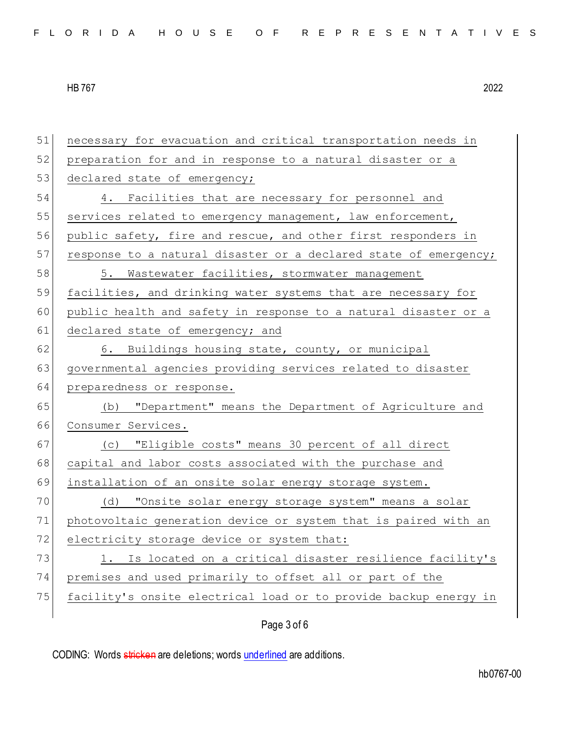| public safety, fire and rescue, and other first responders in    |
|------------------------------------------------------------------|
| response to a natural disaster or a declared state of emergency; |
|                                                                  |
| facilities, and drinking water systems that are necessary for    |
| public health and safety in response to a natural disaster or a  |
|                                                                  |
|                                                                  |
|                                                                  |
|                                                                  |
| (b) "Department" means the Department of Agriculture and         |
|                                                                  |
|                                                                  |
|                                                                  |
|                                                                  |
|                                                                  |
| photovoltaic generation device or system that is paired with an  |
|                                                                  |
| Is located on a critical disaster resilience facility's          |
|                                                                  |
| facility's onsite electrical load or to provide backup energy in |
|                                                                  |
| governmental agencies providing services related to disaster     |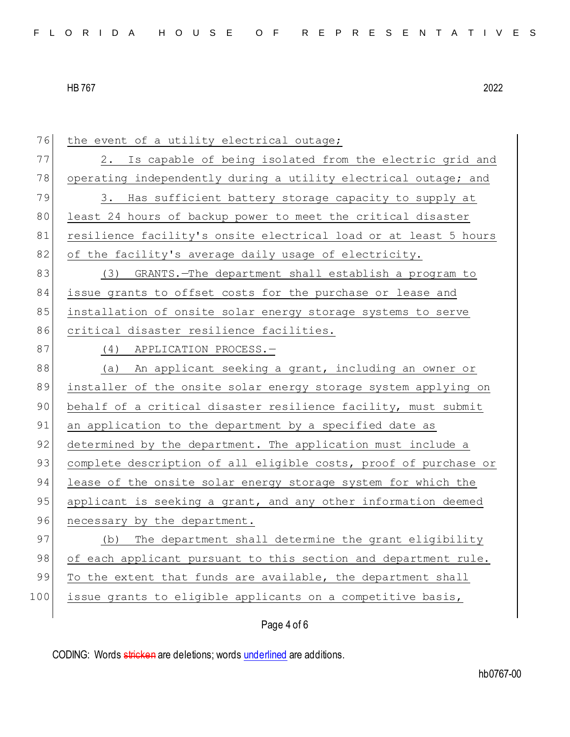| 76  | the event of a utility electrical outage;                        |
|-----|------------------------------------------------------------------|
| 77  | 2. Is capable of being isolated from the electric grid and       |
| 78  | operating independently during a utility electrical outage; and  |
| 79  | Has sufficient battery storage capacity to supply at<br>3.       |
| 80  | least 24 hours of backup power to meet the critical disaster     |
| 81  | resilience facility's onsite electrical load or at least 5 hours |
| 82  | of the facility's average daily usage of electricity.            |
| 83  | (3) GRANTS.-The department shall establish a program to          |
| 84  | issue grants to offset costs for the purchase or lease and       |
| 85  | installation of onsite solar energy storage systems to serve     |
| 86  | critical disaster resilience facilities.                         |
| 87  | (4) APPLICATION PROCESS.-                                        |
| 88  | An applicant seeking a grant, including an owner or<br>(a)       |
| 89  | installer of the onsite solar energy storage system applying on  |
| 90  | behalf of a critical disaster resilience facility, must submit   |
| 91  | an application to the department by a specified date as          |
| 92  | determined by the department. The application must include a     |
| 93  | complete description of all eligible costs, proof of purchase or |
| 94  | lease of the onsite solar energy storage system for which the    |
| 95  | applicant is seeking a grant, and any other information deemed   |
| 96  | necessary by the department.                                     |
| 97  | (b) The department shall determine the grant eligibility         |
| 98  | of each applicant pursuant to this section and department rule.  |
| 99  | To the extent that funds are available, the department shall     |
| 100 | issue grants to eligible applicants on a competitive basis,      |
|     |                                                                  |

# Page 4 of 6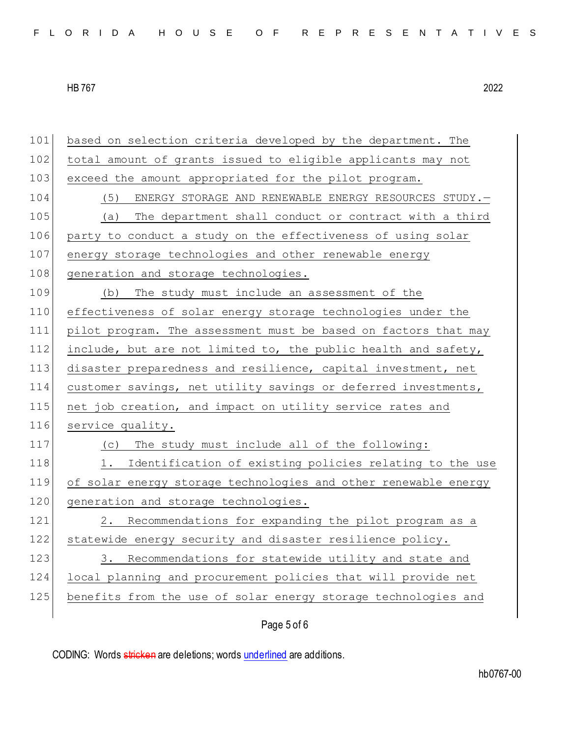| 101 | based on selection criteria developed by the department. The    |
|-----|-----------------------------------------------------------------|
| 102 | total amount of grants issued to eligible applicants may not    |
| 103 | exceed the amount appropriated for the pilot program.           |
| 104 | (5)<br>ENERGY STORAGE AND RENEWABLE ENERGY RESOURCES STUDY. -   |
| 105 | The department shall conduct or contract with a third<br>(a)    |
| 106 | party to conduct a study on the effectiveness of using solar    |
| 107 | energy storage technologies and other renewable energy          |
| 108 | generation and storage technologies.                            |
| 109 | The study must include an assessment of the<br>(b)              |
| 110 | effectiveness of solar energy storage technologies under the    |
| 111 | pilot program. The assessment must be based on factors that may |
| 112 | include, but are not limited to, the public health and safety,  |
| 113 | disaster preparedness and resilience, capital investment, net   |
| 114 | customer savings, net utility savings or deferred investments,  |
| 115 | net job creation, and impact on utility service rates and       |
| 116 | service quality.                                                |
| 117 | The study must include all of the following:<br>(C)             |
| 118 | Identification of existing policies relating to the use<br>1.   |
| 119 | of solar energy storage technologies and other renewable energy |
| 120 | generation and storage technologies.                            |
| 121 | Recommendations for expanding the pilot program as a<br>2.      |
| 122 | statewide energy security and disaster resilience policy.       |
| 123 | Recommendations for statewide utility and state and<br>3.       |
| 124 | local planning and procurement policies that will provide net   |
| 125 | benefits from the use of solar energy storage technologies and  |
|     |                                                                 |

# Page 5 of 6